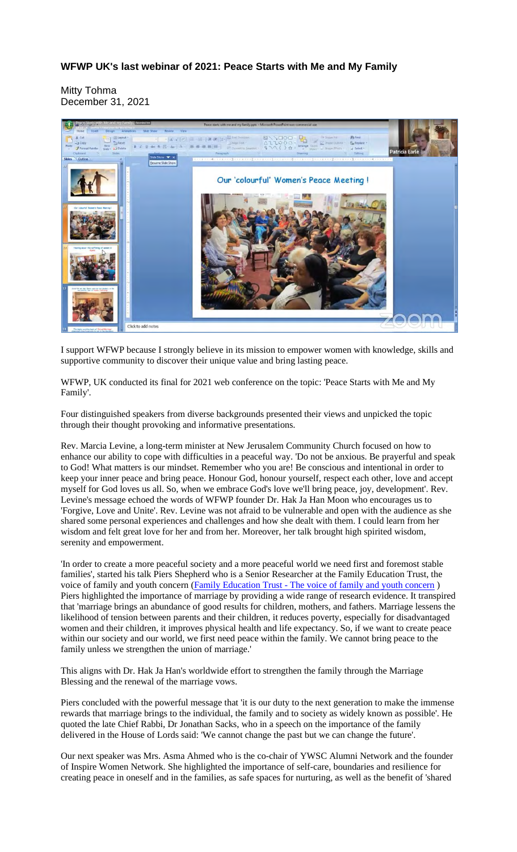## **WFWP UK's last webinar of 2021: Peace Starts with Me and My Family**

Mitty Tohma December 31, 2021



I support WFWP because I strongly believe in its mission to empower women with knowledge, skills and supportive community to discover their unique value and bring lasting peace.

WFWP, UK conducted its final for 2021 web conference on the topic: 'Peace Starts with Me and My Family'.

Four distinguished speakers from diverse backgrounds presented their views and unpicked the topic through their thought provoking and informative presentations.

Rev. Marcia Levine, a long-term minister at New Jerusalem Community Church focused on how to enhance our ability to cope with difficulties in a peaceful way. 'Do not be anxious. Be prayerful and speak to God! What matters is our mindset. Remember who you are! Be conscious and intentional in order to keep your inner peace and bring peace. Honour God, honour yourself, respect each other, love and accept myself for God loves us all. So, when we embrace God's love we'll bring peace, joy, development'. Rev. Levine's message echoed the words of WFWP founder Dr. Hak Ja Han Moon who encourages us to 'Forgive, Love and Unite'. Rev. Levine was not afraid to be vulnerable and open with the audience as she shared some personal experiences and challenges and how she dealt with them. I could learn from her wisdom and felt great love for her and from her. Moreover, her talk brought high spirited wisdom, serenity and empowerment.

'In order to create a more peaceful society and a more peaceful world we need first and foremost stable families', started his talk Piers Shepherd who is a Senior Researcher at the Family Education Trust, the voice of family and youth concern (Family Education Trust - The voice of family and youth concern) Piers highlighted the importance of marriage by providing a wide range of research evidence. It transpired that 'marriage brings an abundance of good results for children, mothers, and fathers. Marriage lessens the likelihood of tension between parents and their children, it reduces poverty, especially for disadvantaged women and their children, it improves physical health and life expectancy. So, if we want to create peace within our society and our world, we first need peace within the family. We cannot bring peace to the family unless we strengthen the union of marriage.'

This aligns with Dr. Hak Ja Han's worldwide effort to strengthen the family through the Marriage Blessing and the renewal of the marriage vows.

Piers concluded with the powerful message that 'it is our duty to the next generation to make the immense rewards that marriage brings to the individual, the family and to society as widely known as possible'. He quoted the late Chief Rabbi, Dr Jonathan Sacks, who in a speech on the importance of the family delivered in the House of Lords said: 'We cannot change the past but we can change the future'.

Our next speaker was Mrs. Asma Ahmed who is the co-chair of YWSC Alumni Network and the founder of Inspire Women Network. She highlighted the importance of self-care, boundaries and resilience for creating peace in oneself and in the families, as safe spaces for nurturing, as well as the benefit of 'shared